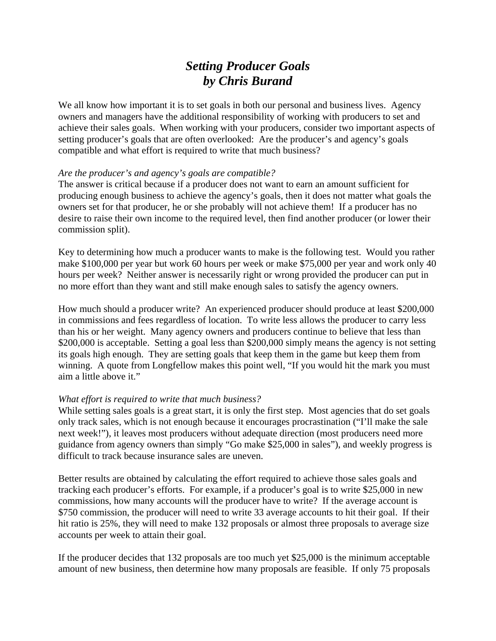## *Setting Producer Goals by Chris Burand*

We all know how important it is to set goals in both our personal and business lives. Agency owners and managers have the additional responsibility of working with producers to set and achieve their sales goals. When working with your producers, consider two important aspects of setting producer's goals that are often overlooked: Are the producer's and agency's goals compatible and what effort is required to write that much business?

## *Are the producer's and agency's goals are compatible?*

The answer is critical because if a producer does not want to earn an amount sufficient for producing enough business to achieve the agency's goals, then it does not matter what goals the owners set for that producer, he or she probably will not achieve them! If a producer has no desire to raise their own income to the required level, then find another producer (or lower their commission split).

Key to determining how much a producer wants to make is the following test. Would you rather make \$100,000 per year but work 60 hours per week or make \$75,000 per year and work only 40 hours per week? Neither answer is necessarily right or wrong provided the producer can put in no more effort than they want and still make enough sales to satisfy the agency owners.

How much should a producer write? An experienced producer should produce at least \$200,000 in commissions and fees regardless of location. To write less allows the producer to carry less than his or her weight. Many agency owners and producers continue to believe that less than \$200,000 is acceptable. Setting a goal less than \$200,000 simply means the agency is not setting its goals high enough. They are setting goals that keep them in the game but keep them from winning. A quote from Longfellow makes this point well, "If you would hit the mark you must aim a little above it."

## *What effort is required to write that much business?*

While setting sales goals is a great start, it is only the first step. Most agencies that do set goals only track sales, which is not enough because it encourages procrastination ("I'll make the sale next week!"), it leaves most producers without adequate direction (most producers need more guidance from agency owners than simply "Go make \$25,000 in sales"), and weekly progress is difficult to track because insurance sales are uneven.

Better results are obtained by calculating the effort required to achieve those sales goals and tracking each producer's efforts. For example, if a producer's goal is to write \$25,000 in new commissions, how many accounts will the producer have to write? If the average account is \$750 commission, the producer will need to write 33 average accounts to hit their goal. If their hit ratio is 25%, they will need to make 132 proposals or almost three proposals to average size accounts per week to attain their goal.

If the producer decides that 132 proposals are too much yet \$25,000 is the minimum acceptable amount of new business, then determine how many proposals are feasible. If only 75 proposals